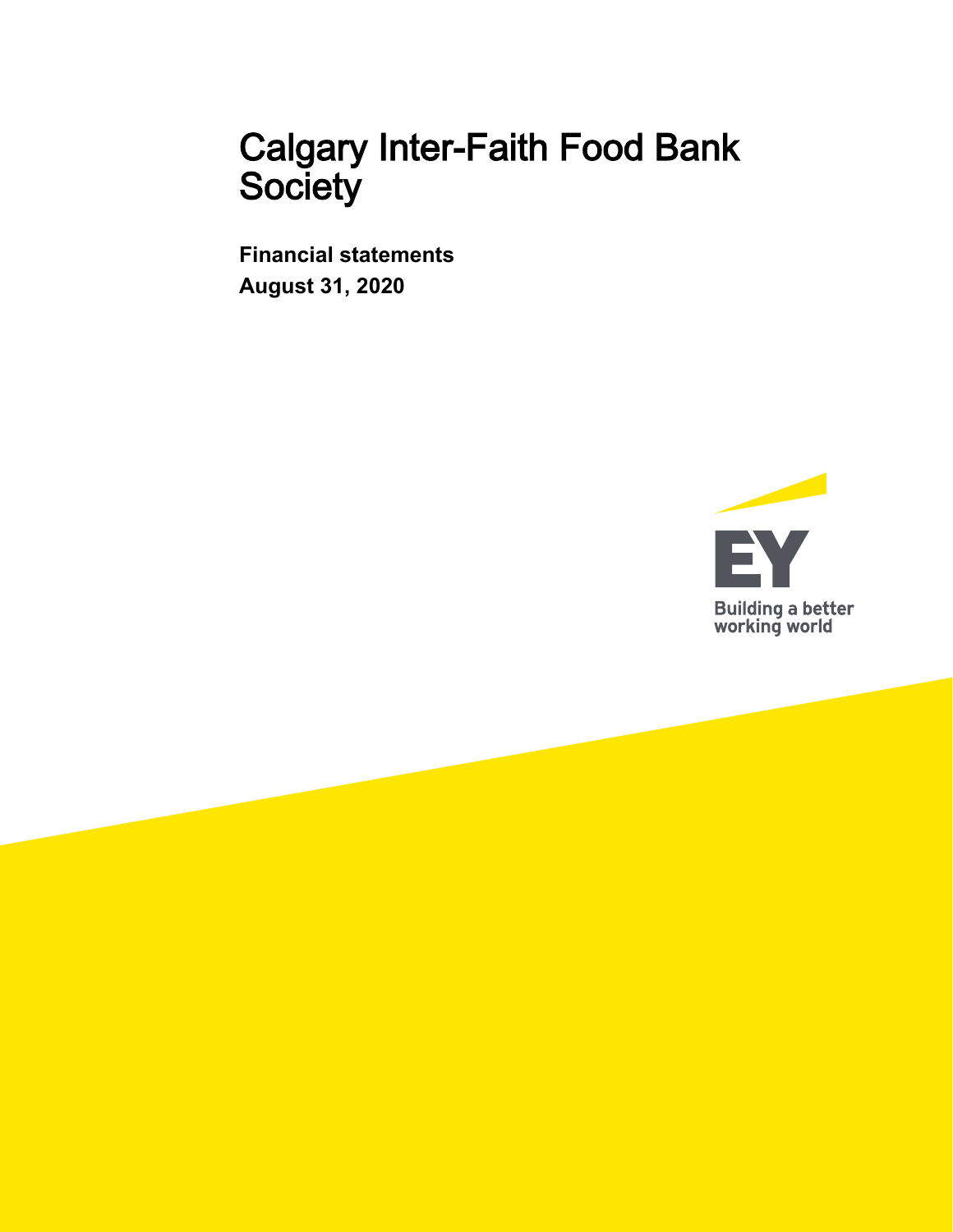**Financial statements August 31, 2020**

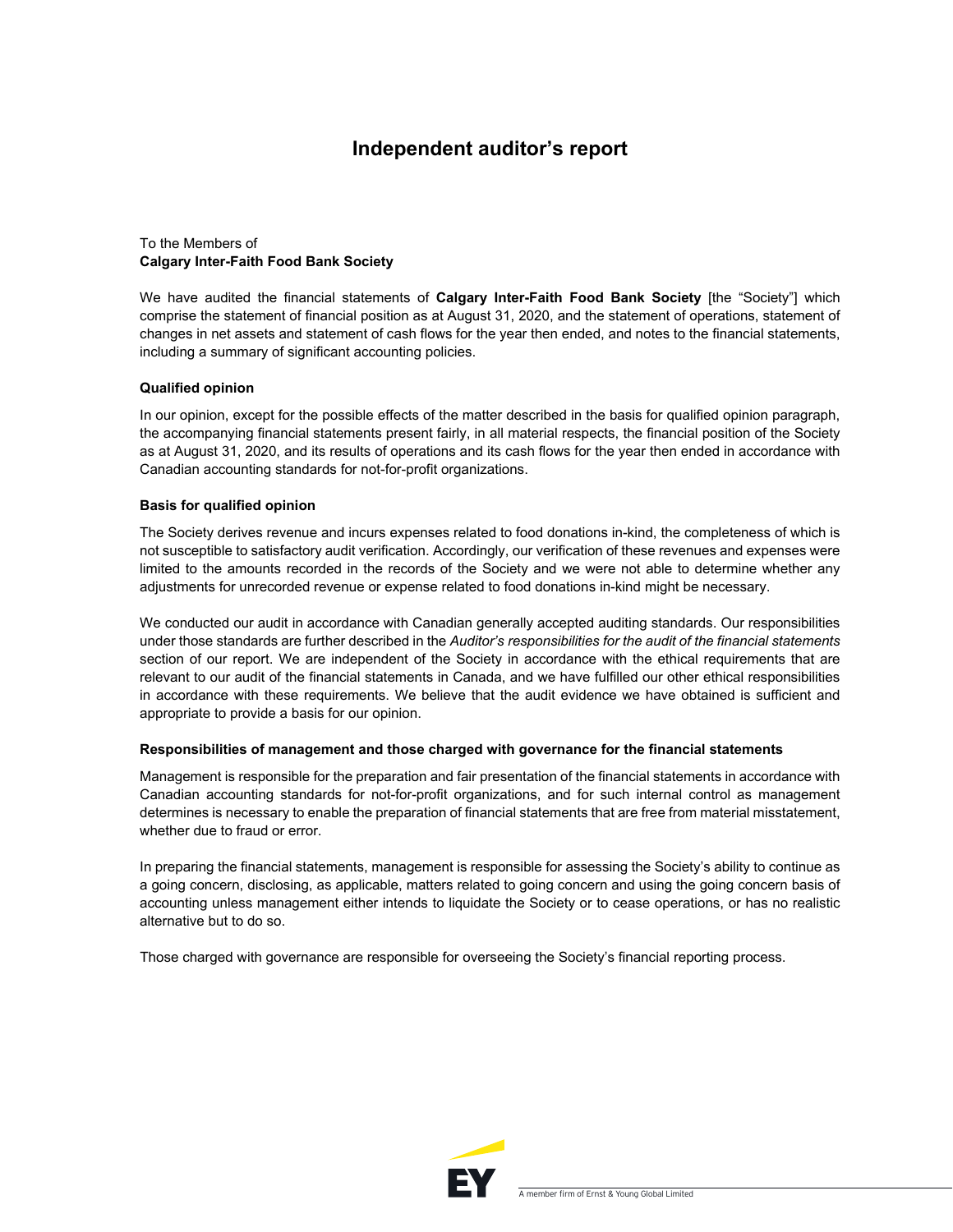### **Independent auditor's report**

### To the Members of **Calgary Inter-Faith Food Bank Society**

We have audited the financial statements of **Calgary Inter-Faith Food Bank Society** [the "Society"] which comprise the statement of financial position as at August 31, 2020, and the statement of operations, statement of changes in net assets and statement of cash flows for the year then ended, and notes to the financial statements, including a summary of significant accounting policies.

### **Qualified opinion**

In our opinion, except for the possible effects of the matter described in the basis for qualified opinion paragraph, the accompanying financial statements present fairly, in all material respects, the financial position of the Society as at August 31, 2020, and its results of operations and its cash flows for the year then ended in accordance with Canadian accounting standards for not-for-profit organizations.

#### **Basis for qualified opinion**

The Society derives revenue and incurs expenses related to food donations in-kind, the completeness of which is not susceptible to satisfactory audit verification. Accordingly, our verification of these revenues and expenses were limited to the amounts recorded in the records of the Society and we were not able to determine whether any adjustments for unrecorded revenue or expense related to food donations in-kind might be necessary.

We conducted our audit in accordance with Canadian generally accepted auditing standards. Our responsibilities under those standards are further described in the *Auditor's responsibilities for the audit of the financial statements*  section of our report. We are independent of the Society in accordance with the ethical requirements that are relevant to our audit of the financial statements in Canada, and we have fulfilled our other ethical responsibilities in accordance with these requirements. We believe that the audit evidence we have obtained is sufficient and appropriate to provide a basis for our opinion.

#### **Responsibilities of management and those charged with governance for the financial statements**

Management is responsible for the preparation and fair presentation of the financial statements in accordance with Canadian accounting standards for not-for-profit organizations, and for such internal control as management determines is necessary to enable the preparation of financial statements that are free from material misstatement, whether due to fraud or error.

In preparing the financial statements, management is responsible for assessing the Society's ability to continue as a going concern, disclosing, as applicable, matters related to going concern and using the going concern basis of accounting unless management either intends to liquidate the Society or to cease operations, or has no realistic alternative but to do so.

Those charged with governance are responsible for overseeing the Society's financial reporting process.

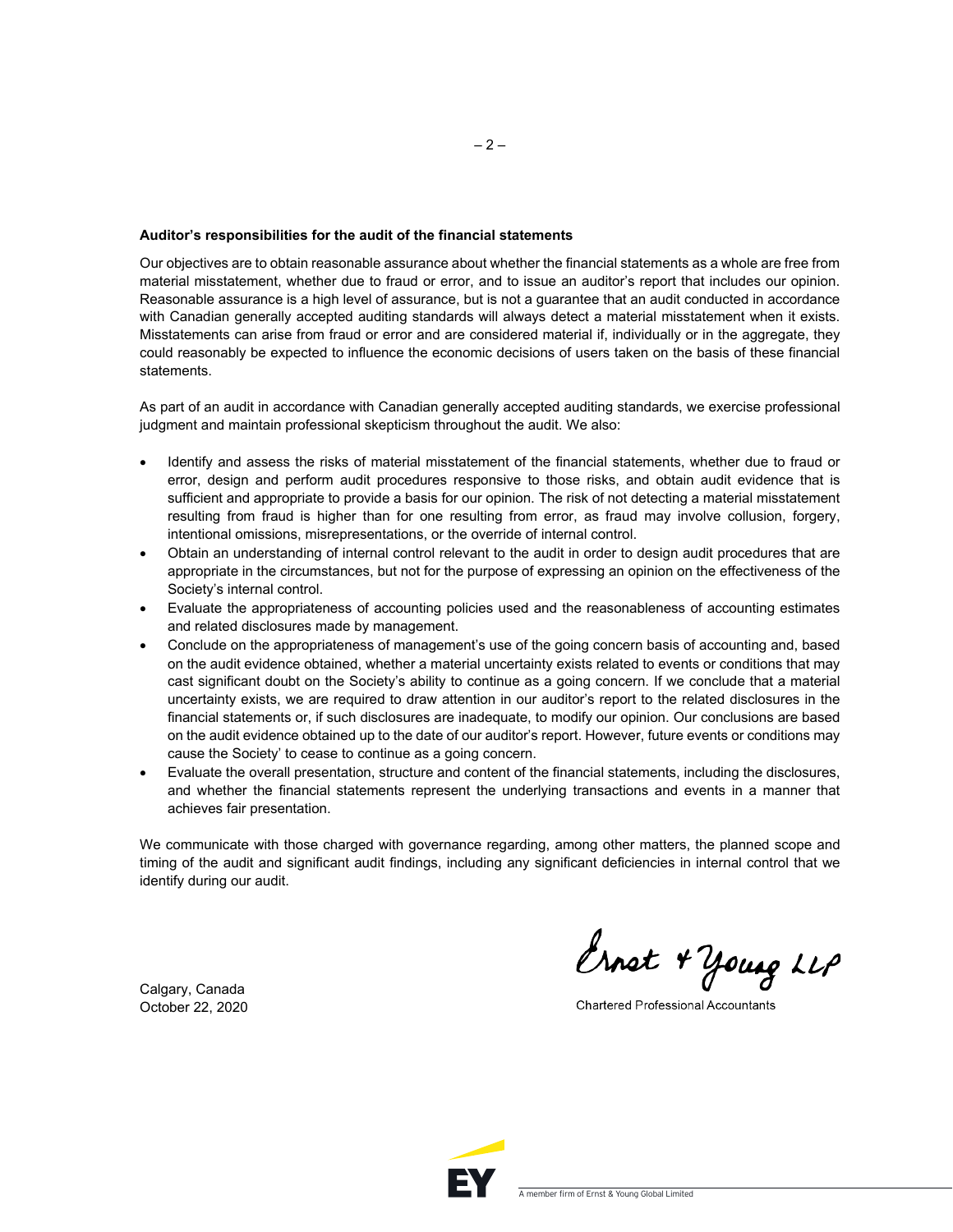#### **Auditor's responsibilities for the audit of the financial statements**

Our objectives are to obtain reasonable assurance about whether the financial statements as a whole are free from material misstatement, whether due to fraud or error, and to issue an auditor's report that includes our opinion. Reasonable assurance is a high level of assurance, but is not a guarantee that an audit conducted in accordance with Canadian generally accepted auditing standards will always detect a material misstatement when it exists. Misstatements can arise from fraud or error and are considered material if, individually or in the aggregate, they could reasonably be expected to influence the economic decisions of users taken on the basis of these financial statements.

As part of an audit in accordance with Canadian generally accepted auditing standards, we exercise professional judgment and maintain professional skepticism throughout the audit. We also:

- Identify and assess the risks of material misstatement of the financial statements, whether due to fraud or error, design and perform audit procedures responsive to those risks, and obtain audit evidence that is sufficient and appropriate to provide a basis for our opinion. The risk of not detecting a material misstatement resulting from fraud is higher than for one resulting from error, as fraud may involve collusion, forgery, intentional omissions, misrepresentations, or the override of internal control.
- Obtain an understanding of internal control relevant to the audit in order to design audit procedures that are appropriate in the circumstances, but not for the purpose of expressing an opinion on the effectiveness of the Society's internal control.
- Evaluate the appropriateness of accounting policies used and the reasonableness of accounting estimates and related disclosures made by management.
- Conclude on the appropriateness of management's use of the going concern basis of accounting and, based on the audit evidence obtained, whether a material uncertainty exists related to events or conditions that may cast significant doubt on the Society's ability to continue as a going concern. If we conclude that a material uncertainty exists, we are required to draw attention in our auditor's report to the related disclosures in the financial statements or, if such disclosures are inadequate, to modify our opinion. Our conclusions are based on the audit evidence obtained up to the date of our auditor's report. However, future events or conditions may cause the Society' to cease to continue as a going concern.
- Evaluate the overall presentation, structure and content of the financial statements, including the disclosures, and whether the financial statements represent the underlying transactions and events in a manner that achieves fair presentation.

We communicate with those charged with governance regarding, among other matters, the planned scope and timing of the audit and significant audit findings, including any significant deficiencies in internal control that we identify during our audit.

Calgary, Canada October 22, 2020

Ernet + Young LLP

**Chartered Professional Accountants** 

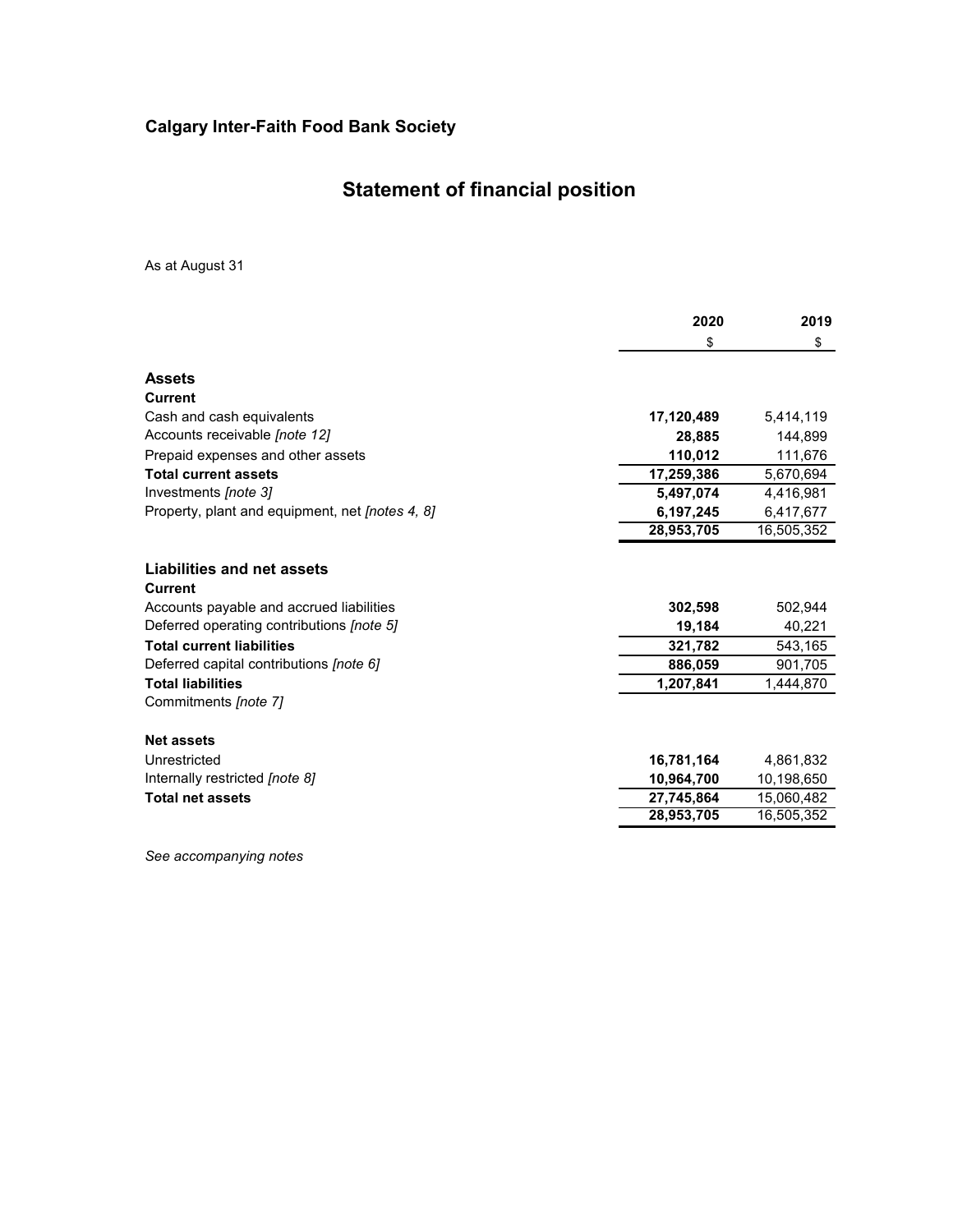# **Statement of financial position**

As at August 31

|                                                        | 2020       | 2019       |
|--------------------------------------------------------|------------|------------|
|                                                        | \$         | \$         |
| <b>Assets</b>                                          |            |            |
| <b>Current</b>                                         |            |            |
| Cash and cash equivalents                              | 17,120,489 | 5,414,119  |
| Accounts receivable [note 12]                          | 28,885     | 144,899    |
| Prepaid expenses and other assets                      | 110,012    | 111,676    |
| <b>Total current assets</b>                            | 17,259,386 | 5,670,694  |
| Investments [note 3]                                   | 5,497,074  | 4,416,981  |
| Property, plant and equipment, net <i>[notes 4, 8]</i> | 6,197,245  | 6,417,677  |
|                                                        | 28,953,705 | 16,505,352 |
| Liabilities and net assets<br><b>Current</b>           |            |            |
| Accounts payable and accrued liabilities               | 302,598    | 502,944    |
| Deferred operating contributions [note 5]              | 19,184     | 40,221     |
| <b>Total current liabilities</b>                       | 321,782    | 543,165    |
| Deferred capital contributions [note 6]                | 886,059    | 901,705    |
| <b>Total liabilities</b>                               | 1,207,841  | 1,444,870  |
| Commitments [note 7]                                   |            |            |
| <b>Net assets</b>                                      |            |            |
| Unrestricted                                           | 16,781,164 | 4,861,832  |
| Internally restricted [note 8]                         | 10,964,700 | 10,198,650 |
| <b>Total net assets</b>                                | 27,745,864 | 15,060,482 |
|                                                        | 28,953,705 | 16,505,352 |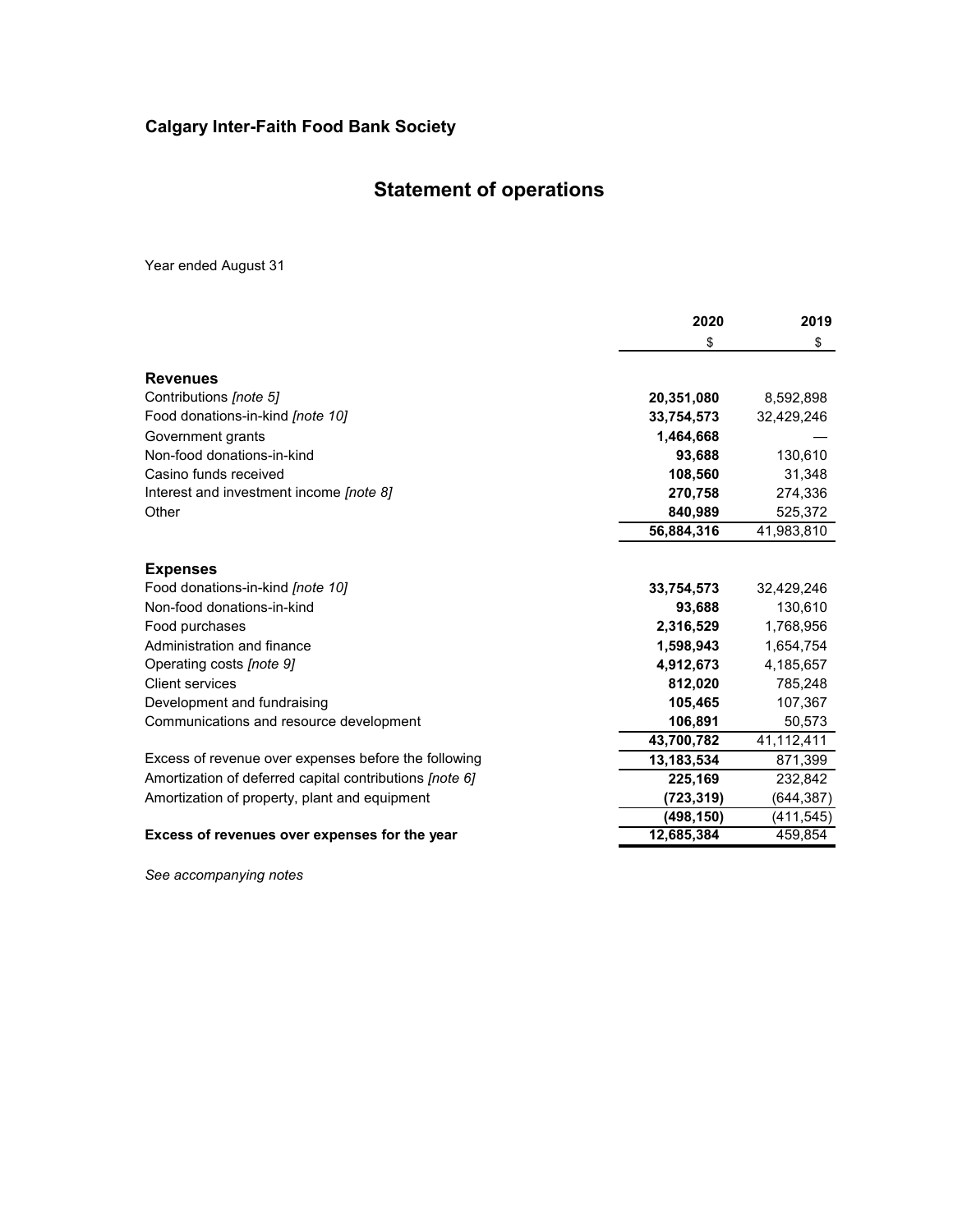# **Statement of operations**

Year ended August 31

|                                                         | 2020       | 2019       |
|---------------------------------------------------------|------------|------------|
|                                                         | \$         | \$         |
| <b>Revenues</b>                                         |            |            |
| Contributions [note 5]                                  | 20,351,080 | 8,592,898  |
| Food donations-in-kind <i>[note 10]</i>                 | 33,754,573 | 32,429,246 |
| Government grants                                       | 1,464,668  |            |
| Non-food donations-in-kind                              | 93,688     | 130,610    |
| Casino funds received                                   | 108,560    | 31,348     |
| Interest and investment income <i>[note 8]</i>          | 270,758    | 274,336    |
| Other                                                   | 840,989    | 525,372    |
|                                                         | 56,884,316 | 41,983,810 |
| <b>Expenses</b>                                         |            |            |
| Food donations-in-kind [note 10]                        | 33,754,573 | 32,429,246 |
| Non-food donations-in-kind                              | 93,688     | 130,610    |
| Food purchases                                          | 2,316,529  | 1,768,956  |
| Administration and finance                              | 1,598,943  | 1,654,754  |
| Operating costs [note 9]                                | 4,912,673  | 4,185,657  |
| <b>Client services</b>                                  | 812,020    | 785,248    |
| Development and fundraising                             | 105,465    | 107,367    |
| Communications and resource development                 | 106,891    | 50,573     |
|                                                         | 43,700,782 | 41,112,411 |
| Excess of revenue over expenses before the following    | 13,183,534 | 871,399    |
| Amortization of deferred capital contributions [note 6] | 225,169    | 232,842    |
| Amortization of property, plant and equipment           | (723,319)  | (644, 387) |
|                                                         | (498, 150) | (411, 545) |
| Excess of revenues over expenses for the year           | 12,685,384 | 459,854    |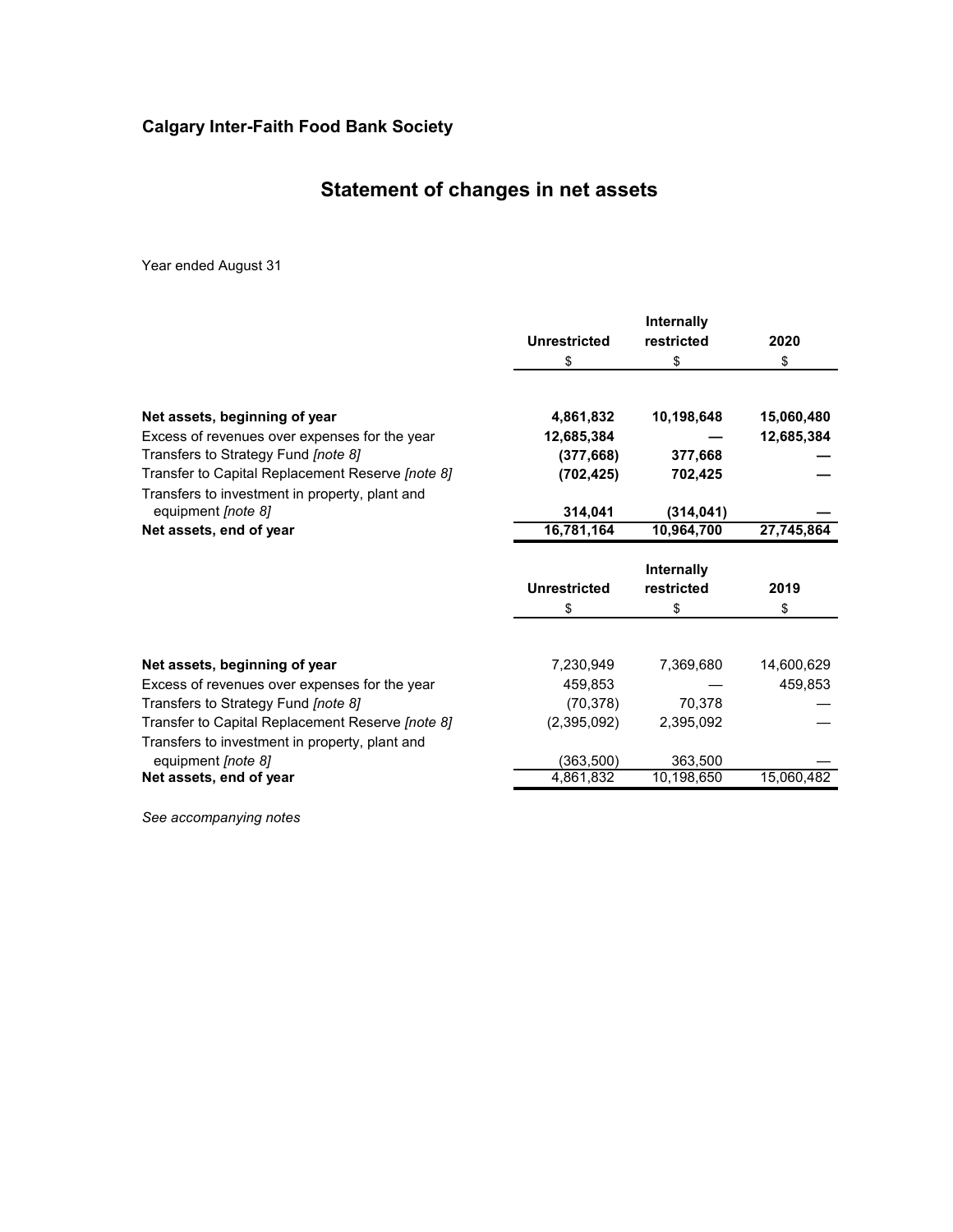# **Statement of changes in net assets**

Year ended August 31

|                                                  |                     | Internally               |            |
|--------------------------------------------------|---------------------|--------------------------|------------|
|                                                  | <b>Unrestricted</b> | restricted               | 2020       |
|                                                  | S                   | \$                       | \$         |
|                                                  |                     |                          |            |
| Net assets, beginning of year                    | 4,861,832           | 10,198,648               | 15,060,480 |
| Excess of revenues over expenses for the year    | 12,685,384          |                          | 12,685,384 |
| Transfers to Strategy Fund [note 8]              | (377, 668)          | 377,668                  |            |
| Transfer to Capital Replacement Reserve [note 8] | (702, 425)          | 702,425                  |            |
| Transfers to investment in property, plant and   |                     |                          |            |
| equipment [note 8]                               | 314,041             | (314, 041)               |            |
| Net assets, end of year                          | 16,781,164          | 10,964,700               | 27,745,864 |
|                                                  |                     |                          |            |
|                                                  | <b>Unrestricted</b> | Internally<br>restricted | 2019       |
|                                                  | S                   | \$                       | \$         |
|                                                  |                     |                          |            |
| Net assets, beginning of year                    | 7,230,949           | 7,369,680                | 14,600,629 |
| Excess of revenues over expenses for the year    | 459,853             |                          | 459,853    |
| Transfers to Strategy Fund [note 8]              | (70, 378)           | 70,378                   |            |
| Transfer to Capital Replacement Reserve [note 8] | (2,395,092)         | 2,395,092                |            |
| Transfers to investment in property, plant and   |                     |                          |            |
| equipment [note 8]                               | (363, 500)          | 363,500<br>10,198,650    | 15,060,482 |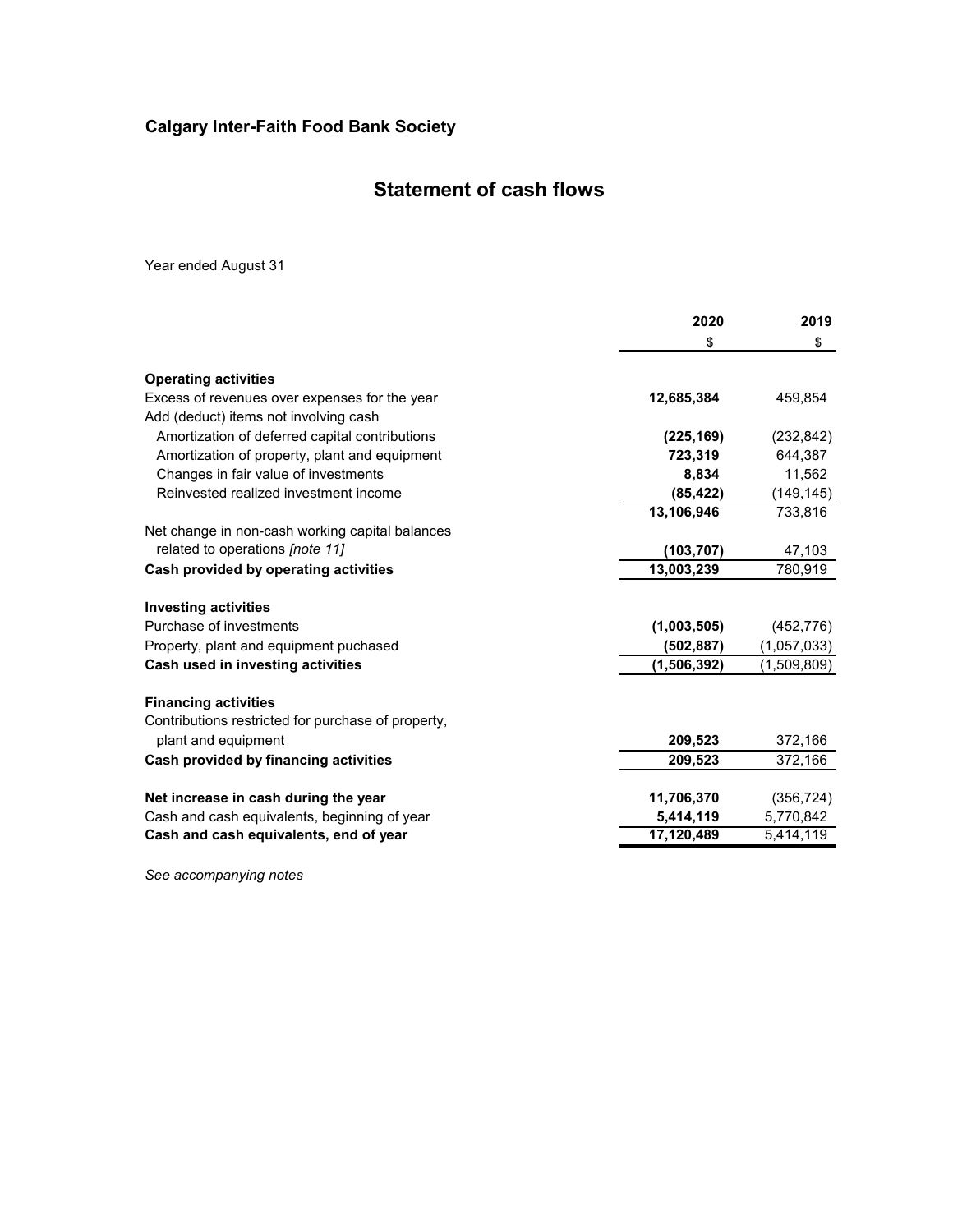## **Statement of cash flows**

Year ended August 31

|                                                    | 2020        | 2019        |
|----------------------------------------------------|-------------|-------------|
|                                                    | \$          | \$          |
| <b>Operating activities</b>                        |             |             |
| Excess of revenues over expenses for the year      | 12,685,384  | 459,854     |
| Add (deduct) items not involving cash              |             |             |
| Amortization of deferred capital contributions     | (225, 169)  | (232, 842)  |
| Amortization of property, plant and equipment      | 723,319     | 644,387     |
| Changes in fair value of investments               | 8.834       | 11,562      |
| Reinvested realized investment income              | (85, 422)   | (149, 145)  |
|                                                    | 13,106,946  | 733,816     |
| Net change in non-cash working capital balances    |             |             |
| related to operations [note 11]                    | (103, 707)  | 47,103      |
| Cash provided by operating activities              | 13,003,239  | 780,919     |
| <b>Investing activities</b>                        |             |             |
| Purchase of investments                            | (1,003,505) | (452, 776)  |
| Property, plant and equipment puchased             | (502, 887)  | (1,057,033) |
| Cash used in investing activities                  | (1,506,392) | (1,509,809) |
| <b>Financing activities</b>                        |             |             |
| Contributions restricted for purchase of property, |             |             |
| plant and equipment                                | 209,523     | 372,166     |
| Cash provided by financing activities              | 209,523     | 372,166     |
|                                                    |             |             |
| Net increase in cash during the year               | 11,706,370  | (356, 724)  |
| Cash and cash equivalents, beginning of year       | 5,414,119   | 5,770,842   |
| Cash and cash equivalents, end of year             | 17,120,489  | 5,414,119   |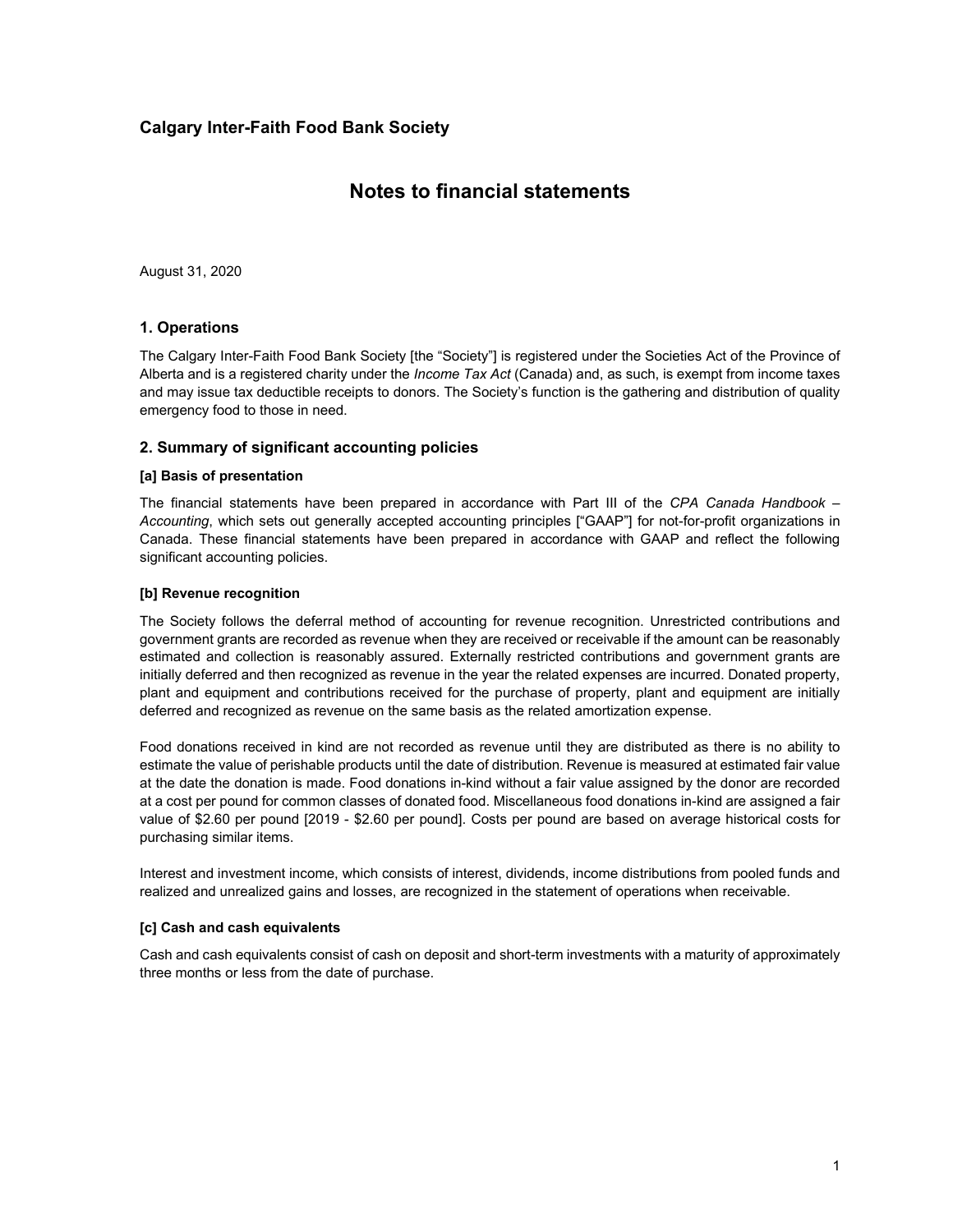### **Notes to financial statements**

August 31, 2020

### **1. Operations**

The Calgary Inter-Faith Food Bank Society [the "Society"] is registered under the Societies Act of the Province of Alberta and is a registered charity under the *Income Tax Act* (Canada) and, as such, is exempt from income taxes and may issue tax deductible receipts to donors. The Society's function is the gathering and distribution of quality emergency food to those in need.

#### **2. Summary of significant accounting policies**

#### **[a] Basis of presentation**

The financial statements have been prepared in accordance with Part III of the *CPA Canada Handbook – Accounting*, which sets out generally accepted accounting principles ["GAAP"] for not-for-profit organizations in Canada. These financial statements have been prepared in accordance with GAAP and reflect the following significant accounting policies.

#### **[b] Revenue recognition**

The Society follows the deferral method of accounting for revenue recognition. Unrestricted contributions and government grants are recorded as revenue when they are received or receivable if the amount can be reasonably estimated and collection is reasonably assured. Externally restricted contributions and government grants are initially deferred and then recognized as revenue in the year the related expenses are incurred. Donated property, plant and equipment and contributions received for the purchase of property, plant and equipment are initially deferred and recognized as revenue on the same basis as the related amortization expense.

Food donations received in kind are not recorded as revenue until they are distributed as there is no ability to estimate the value of perishable products until the date of distribution. Revenue is measured at estimated fair value at the date the donation is made. Food donations in-kind without a fair value assigned by the donor are recorded at a cost per pound for common classes of donated food. Miscellaneous food donations in-kind are assigned a fair value of \$2.60 per pound [2019 - \$2.60 per pound]. Costs per pound are based on average historical costs for purchasing similar items.

Interest and investment income, which consists of interest, dividends, income distributions from pooled funds and realized and unrealized gains and losses, are recognized in the statement of operations when receivable.

#### **[c] Cash and cash equivalents**

Cash and cash equivalents consist of cash on deposit and short-term investments with a maturity of approximately three months or less from the date of purchase.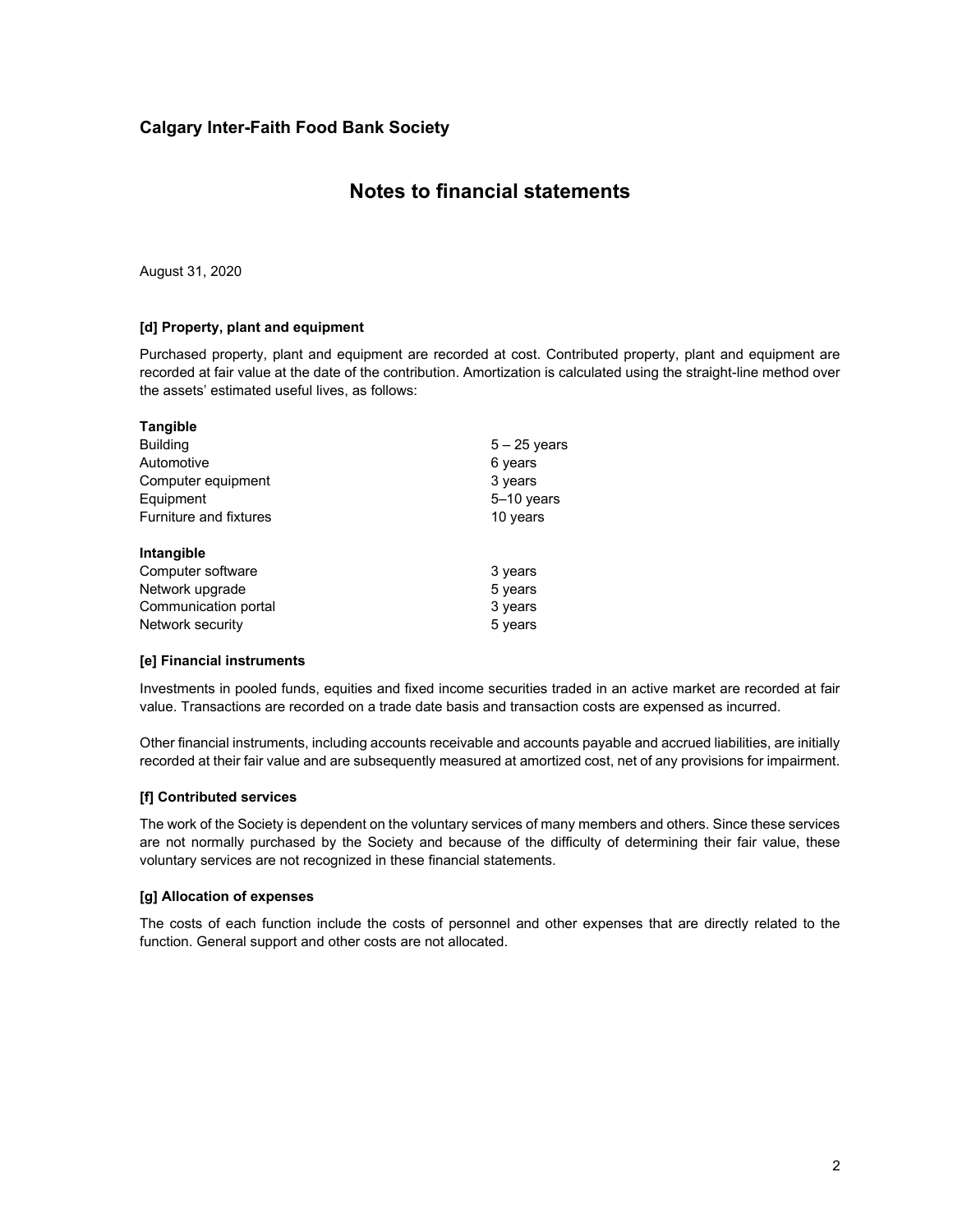### **Notes to financial statements**

August 31, 2020

### **[d] Property, plant and equipment**

Purchased property, plant and equipment are recorded at cost. Contributed property, plant and equipment are recorded at fair value at the date of the contribution. Amortization is calculated using the straight-line method over the assets' estimated useful lives, as follows:

| <b>Tangible</b>        |                |  |
|------------------------|----------------|--|
| <b>Building</b>        | $5 - 25$ years |  |
| Automotive             | 6 years        |  |
| Computer equipment     | 3 years        |  |
| Equipment              | 5-10 years     |  |
| Furniture and fixtures | 10 years       |  |
| Intangible             |                |  |
| Computer software      | 3 years        |  |
| Network upgrade        | 5 years        |  |
| Communication portal   | 3 years        |  |
| Network security       | 5 years        |  |

#### **[e] Financial instruments**

Investments in pooled funds, equities and fixed income securities traded in an active market are recorded at fair value. Transactions are recorded on a trade date basis and transaction costs are expensed as incurred.

Other financial instruments, including accounts receivable and accounts payable and accrued liabilities, are initially recorded at their fair value and are subsequently measured at amortized cost, net of any provisions for impairment.

#### **[f] Contributed services**

The work of the Society is dependent on the voluntary services of many members and others. Since these services are not normally purchased by the Society and because of the difficulty of determining their fair value, these voluntary services are not recognized in these financial statements.

#### **[g] Allocation of expenses**

The costs of each function include the costs of personnel and other expenses that are directly related to the function. General support and other costs are not allocated.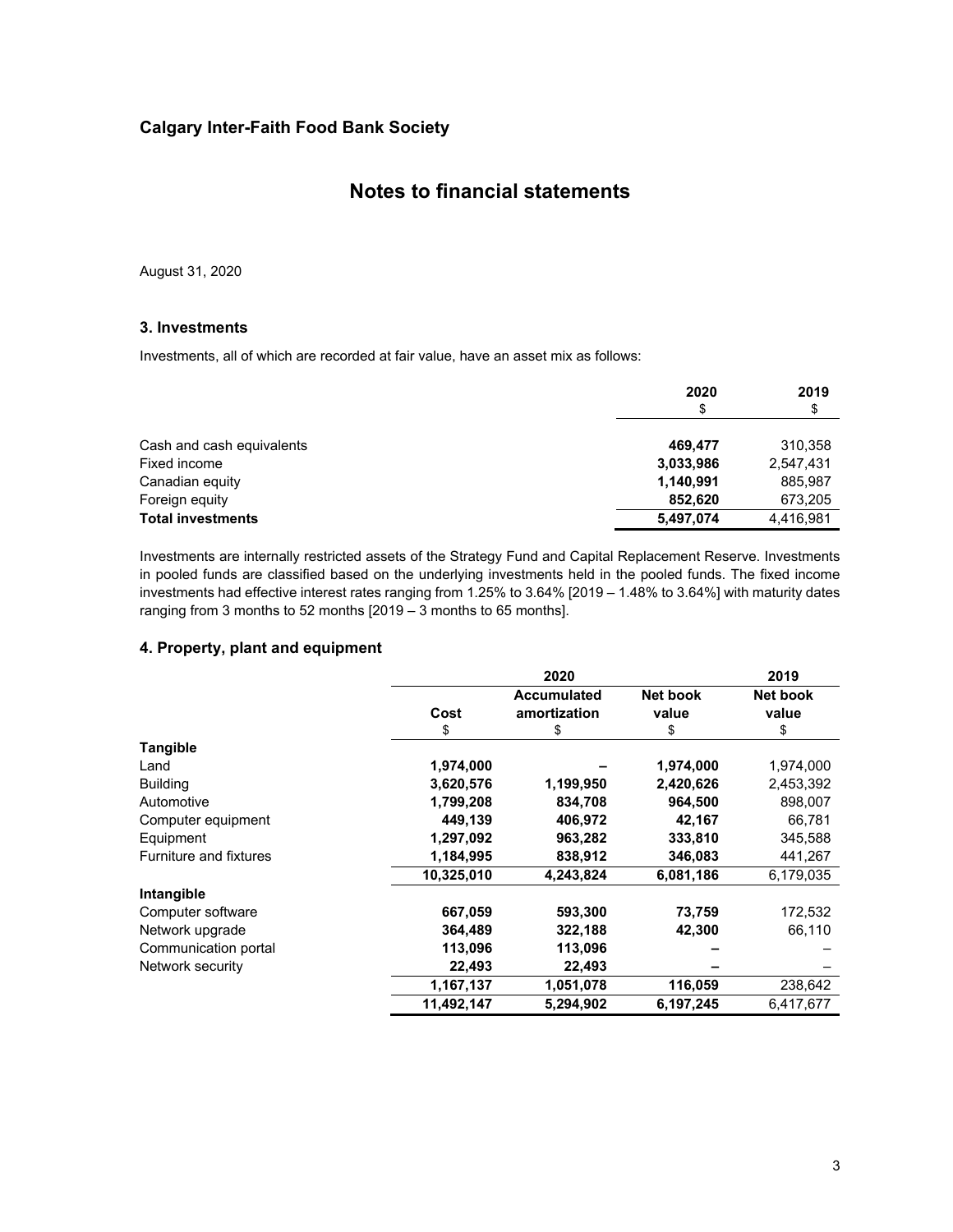### **Notes to financial statements**

August 31, 2020

### **3. Investments**

Investments, all of which are recorded at fair value, have an asset mix as follows:

|                           | 2020<br>\$ | 2019<br>\$ |
|---------------------------|------------|------------|
| Cash and cash equivalents | 469.477    | 310,358    |
| Fixed income              | 3,033,986  | 2,547,431  |
| Canadian equity           | 1,140,991  | 885,987    |
| Foreign equity            | 852.620    | 673,205    |
| <b>Total investments</b>  | 5,497,074  | 4,416,981  |

Investments are internally restricted assets of the Strategy Fund and Capital Replacement Reserve. Investments in pooled funds are classified based on the underlying investments held in the pooled funds. The fixed income investments had effective interest rates ranging from 1.25% to 3.64% [2019 – 1.48% to 3.64%] with maturity dates ranging from 3 months to 52 months [2019 – 3 months to 65 months].

### **4. Property, plant and equipment**

|                        |            | 2020                               |                   | 2019              |
|------------------------|------------|------------------------------------|-------------------|-------------------|
|                        | Cost       | <b>Accumulated</b><br>amortization | Net book<br>value | Net book<br>value |
|                        | \$         | \$                                 | \$                | \$                |
| Tangible               |            |                                    |                   |                   |
| Land                   | 1,974,000  |                                    | 1,974,000         | 1,974,000         |
| <b>Building</b>        | 3,620,576  | 1,199,950                          | 2,420,626         | 2,453,392         |
| Automotive             | 1,799,208  | 834,708                            | 964,500           | 898,007           |
| Computer equipment     | 449,139    | 406,972                            | 42,167            | 66,781            |
| Equipment              | 1,297,092  | 963,282                            | 333,810           | 345,588           |
| Furniture and fixtures | 1,184,995  | 838,912                            | 346,083           | 441,267           |
|                        | 10,325,010 | 4,243,824                          | 6,081,186         | 6,179,035         |
| Intangible             |            |                                    |                   |                   |
| Computer software      | 667,059    | 593,300                            | 73,759            | 172,532           |
| Network upgrade        | 364,489    | 322,188                            | 42,300            | 66,110            |
| Communication portal   | 113,096    | 113,096                            |                   |                   |
| Network security       | 22,493     | 22,493                             |                   |                   |
|                        | 1,167,137  | 1,051,078                          | 116,059           | 238,642           |
|                        | 11,492,147 | 5,294,902                          | 6,197,245         | 6,417,677         |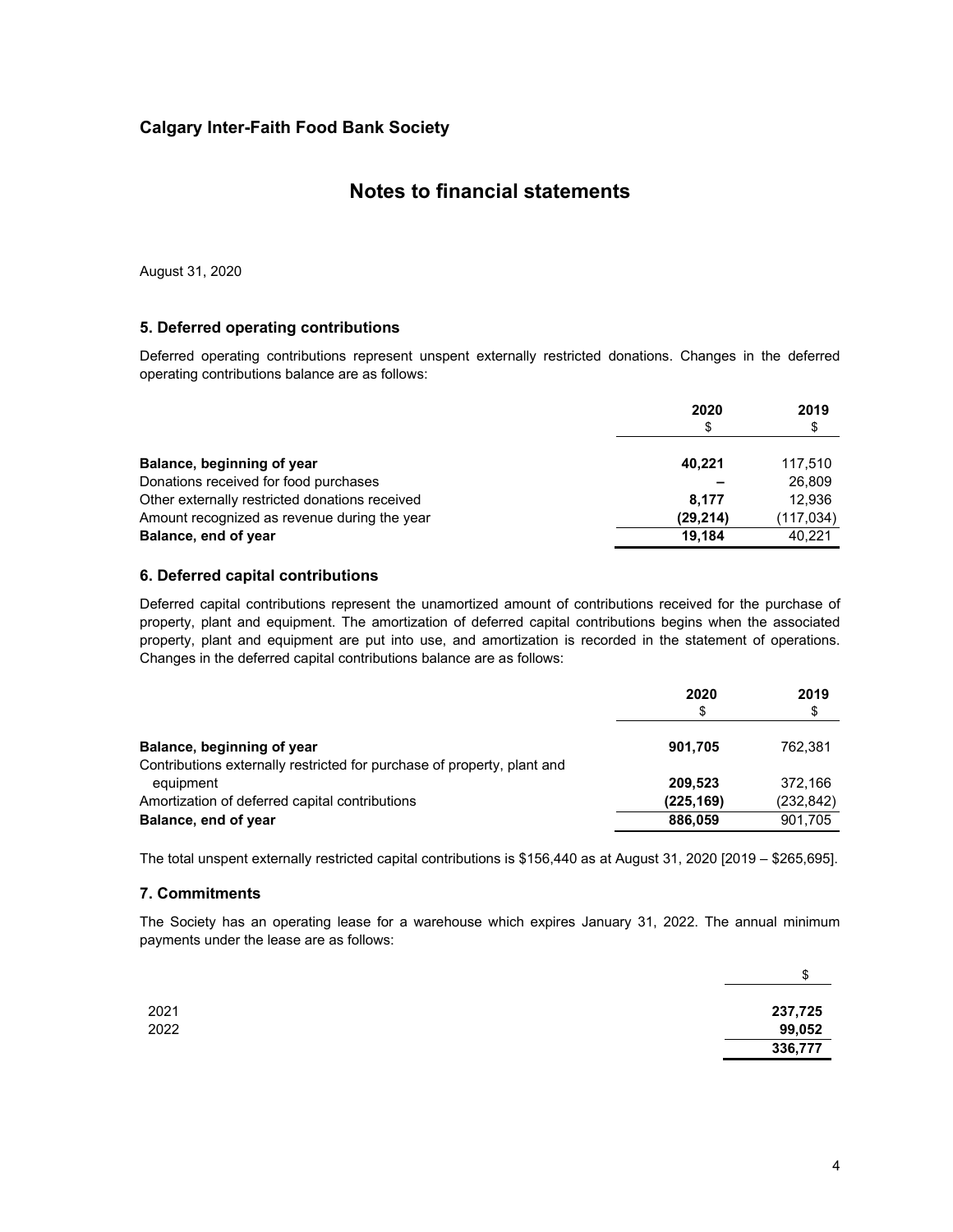### **Notes to financial statements**

August 31, 2020

### **5. Deferred operating contributions**

Deferred operating contributions represent unspent externally restricted donations. Changes in the deferred operating contributions balance are as follows:

|                                                | 2020<br>\$ | 2019<br>\$ |
|------------------------------------------------|------------|------------|
| Balance, beginning of year                     | 40,221     | 117.510    |
| Donations received for food purchases          |            | 26,809     |
| Other externally restricted donations received | 8.177      | 12,936     |
| Amount recognized as revenue during the year   | (29, 214)  | (117, 034) |
| Balance, end of year                           | 19.184     | 40.221     |

#### **6. Deferred capital contributions**

Deferred capital contributions represent the unamortized amount of contributions received for the purchase of property, plant and equipment. The amortization of deferred capital contributions begins when the associated property, plant and equipment are put into use, and amortization is recorded in the statement of operations. Changes in the deferred capital contributions balance are as follows:

|                                                                                      | 2020<br>\$ | 2019<br>\$ |
|--------------------------------------------------------------------------------------|------------|------------|
| Balance, beginning of year                                                           | 901.705    | 762.381    |
| Contributions externally restricted for purchase of property, plant and<br>equipment | 209.523    | 372.166    |
| Amortization of deferred capital contributions                                       | (225, 169) | (232, 842) |
| Balance, end of year                                                                 | 886,059    | 901.705    |

The total unspent externally restricted capital contributions is \$156,440 as at August 31, 2020 [2019 – \$265,695].

### **7. Commitments**

The Society has an operating lease for a warehouse which expires January 31, 2022. The annual minimum payments under the lease are as follows:

| ◡       |
|---------|
|         |
| 237,725 |
| 99,052  |
| 336,777 |
|         |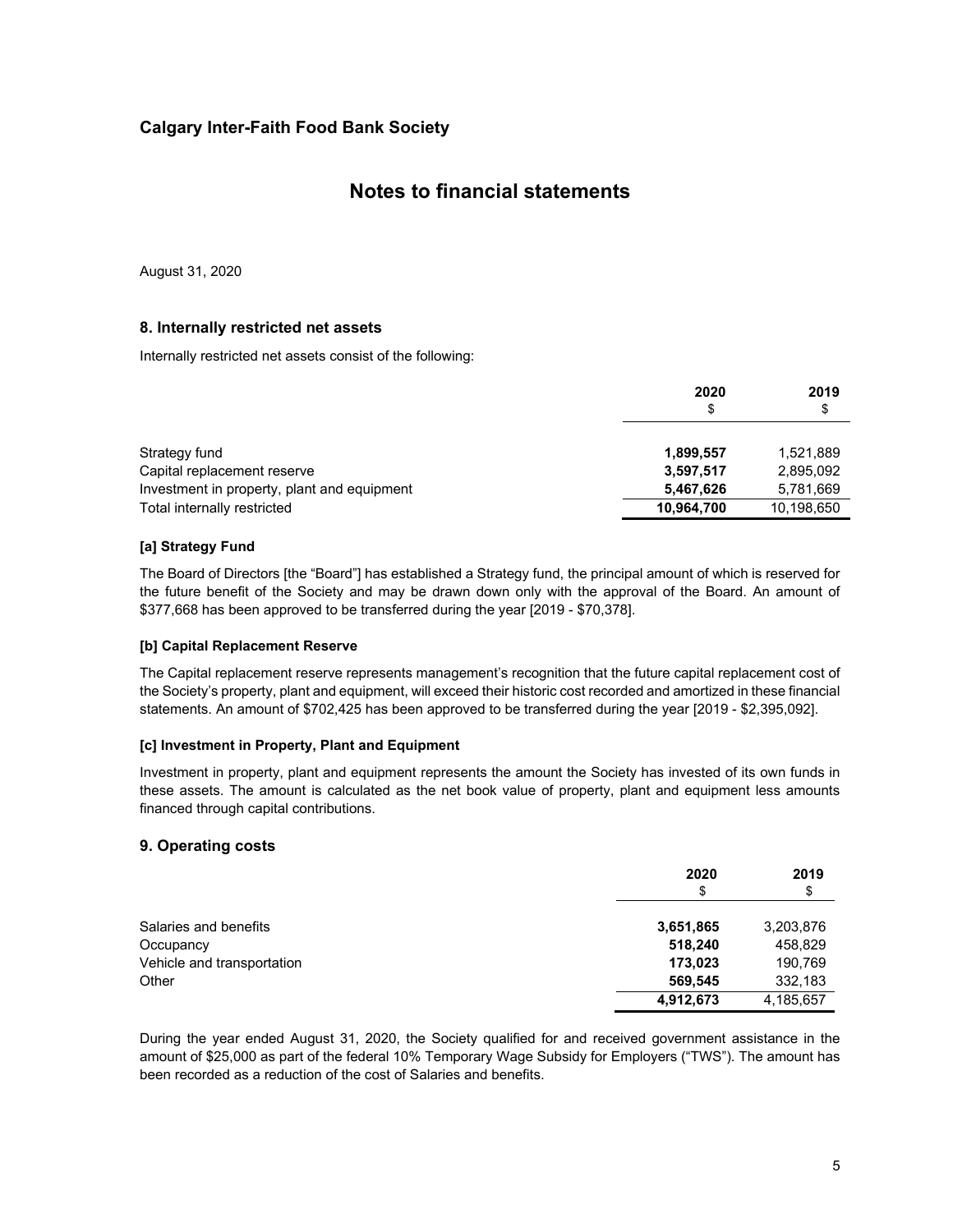### **Notes to financial statements**

August 31, 2020

### **8. Internally restricted net assets**

Internally restricted net assets consist of the following:

|                                             | 2020<br>\$ | 2019<br>\$ |
|---------------------------------------------|------------|------------|
| Strategy fund                               | 1,899,557  | 1,521,889  |
| Capital replacement reserve                 | 3,597,517  | 2,895,092  |
| Investment in property, plant and equipment | 5,467,626  | 5,781,669  |
| Total internally restricted                 | 10,964,700 | 10,198,650 |

### **[a] Strategy Fund**

The Board of Directors [the "Board"] has established a Strategy fund, the principal amount of which is reserved for the future benefit of the Society and may be drawn down only with the approval of the Board. An amount of \$377,668 has been approved to be transferred during the year [2019 - \$70,378].

### **[b] Capital Replacement Reserve**

The Capital replacement reserve represents management's recognition that the future capital replacement cost of the Society's property, plant and equipment, will exceed their historic cost recorded and amortized in these financial statements. An amount of \$702,425 has been approved to be transferred during the year [2019 - \$2,395,092].

### **[c] Investment in Property, Plant and Equipment**

Investment in property, plant and equipment represents the amount the Society has invested of its own funds in these assets. The amount is calculated as the net book value of property, plant and equipment less amounts financed through capital contributions.

### **9. Operating costs**

|                            | 2020<br>\$ | 2019<br>\$ |
|----------------------------|------------|------------|
| Salaries and benefits      | 3,651,865  | 3,203,876  |
| Occupancy                  | 518,240    | 458,829    |
| Vehicle and transportation | 173.023    | 190,769    |
| Other                      | 569,545    | 332,183    |
|                            | 4,912,673  | 4,185,657  |

During the year ended August 31, 2020, the Society qualified for and received government assistance in the amount of \$25,000 as part of the federal 10% Temporary Wage Subsidy for Employers ("TWS"). The amount has been recorded as a reduction of the cost of Salaries and benefits.